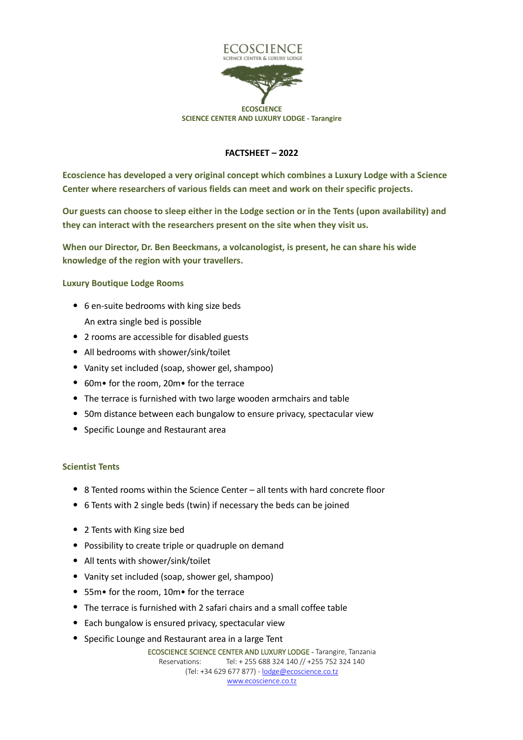

## **FACTSHEET – 2022**

**Ecoscience has developed a very original concept which combines a Luxury Lodge with a Science Center where researchers of various fields can meet and work on their specific projects.**

**Our guests can choose to sleep either in the Lodge section or in the Tents (upon availability) and they can interact with the researchers present on the site when they visit us.**

**When our Director, Dr. Ben Beeckmans, a volcanologist, is present, he can share his wide knowledge of the region with your travellers.**

**Luxury Boutique Lodge Rooms**

- 6 en-suite bedrooms with king size beds An extra single bed is possible
- 2 rooms are accessible for disabled guests
- All bedrooms with shower/sink/toilet
- Vanity set included (soap, shower gel, shampoo)
- 60m• for the room, 20m• for the terrace
- The terrace is furnished with two large wooden armchairs and table
- 50m distance between each bungalow to ensure privacy, spectacular view
- Specific Lounge and Restaurant area

## **Scientist Tents**

- 8 Tented rooms within the Science Center all tents with hard concrete floor
- 6 Tents with 2 single beds (twin) if necessary the beds can be joined
- 2 Tents with King size bed
- Possibility to create triple or quadruple on demand
- All tents with shower/sink/toilet
- Vanity set included (soap, shower gel, shampoo)
- 55m• for the room, 10m• for the terrace
- The terrace is furnished with 2 safari chairs and a small coffee table
- Each bungalow is ensured privacy, spectacular view
- Specific Lounge and Restaurant area in a large Tent

ECOSCIENCE SCIENCE CENTER AND LUXURY LODGE - Tarangire, Tanzania Reservations: Tel: + 255 688 324 140 // +255 752 324 140 (Tel: +34 629 677 877) - lodge@ecoscience.co.tz www.ecoscience.co.tz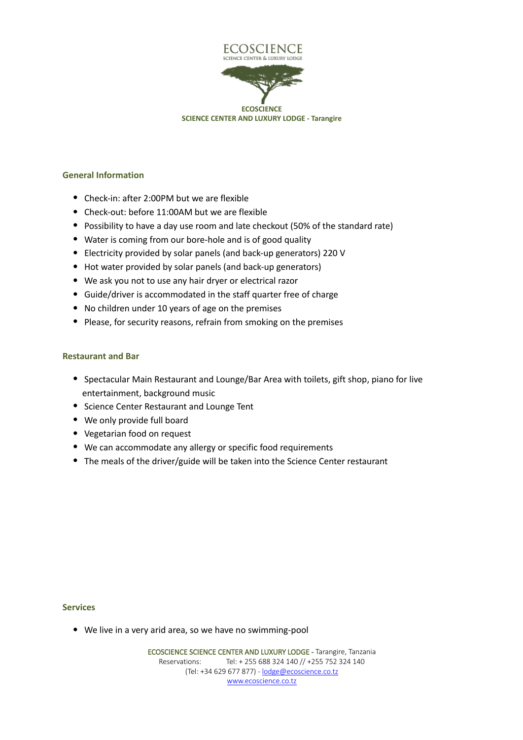

**SCIENCE CENTER AND LUXURY LODGE - Tarangire**

### **General Information**

- Check-in: after 2:00PM but we are flexible
- Check-out: before 11:00AM but we are flexible
- Possibility to have a day use room and late checkout (50% of the standard rate)
- Water is coming from our bore-hole and is of good quality
- Electricity provided by solar panels (and back-up generators) 220 V
- Hot water provided by solar panels (and back-up generators)
- We ask you not to use any hair dryer or electrical razor
- Guide/driver is accommodated in the staff quarter free of charge
- No children under 10 years of age on the premises
- Please, for security reasons, refrain from smoking on the premises

#### **Restaurant and Bar**

- Spectacular Main Restaurant and Lounge/Bar Area with toilets, gift shop, piano for live entertainment, background music
- Science Center Restaurant and Lounge Tent
- We only provide full board
- Vegetarian food on request
- We can accommodate any allergy or specific food requirements
- The meals of the driver/guide will be taken into the Science Center restaurant

#### **Services**

• We live in a very arid area, so we have no swimming-pool

ECOSCIENCE SCIENCE CENTER AND LUXURY LODGE - Tarangire, Tanzania Reservations: Tel: + 255 688 324 140 // +255 752 324 140 (Tel: +34 629 677 877) - lodge@ecoscience.co.tz www.ecoscience.co.tz